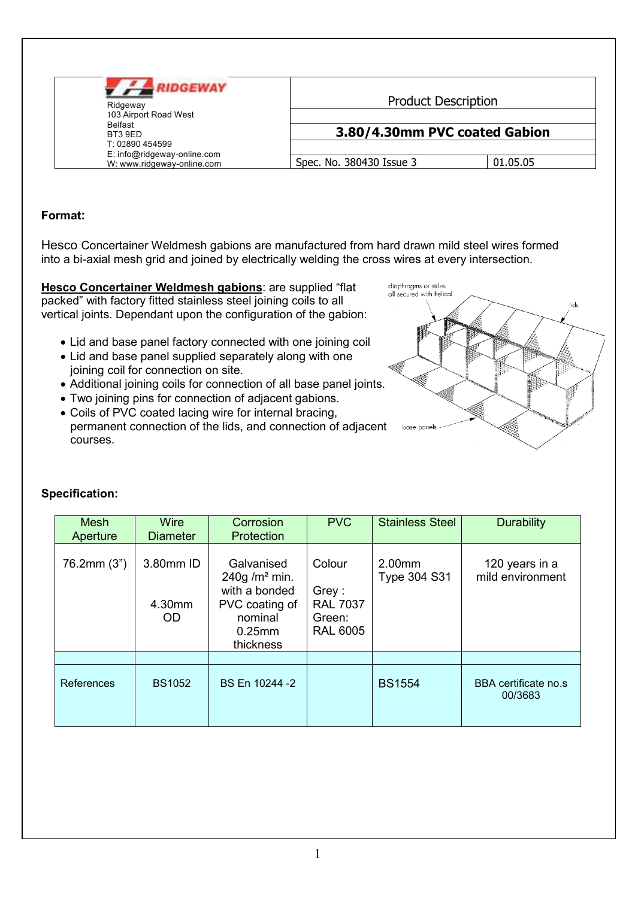| <b>IDGEWAY</b><br>Ridgeway<br>103 Airport Road West       | <b>Product Description</b>    |          |  |  |
|-----------------------------------------------------------|-------------------------------|----------|--|--|
| Belfast<br>BT3 9FD<br>T: 02890 454599                     | 3.80/4.30mm PVC coated Gabion |          |  |  |
| E: info@ridgeway-online.com<br>W: www.ridgeway-online.com | Spec. No. 380430 Issue 3      | 01.05.05 |  |  |

## Format:

Hesco Concertainer Weldmesh gabions are manufactured from hard drawn mild steel wires formed into a bi-axial mesh grid and joined by electrically welding the cross wires at every intersection.

Hesco Concertainer Weldmesh gabions: are supplied "flat packed" with factory fitted stainless steel joining coils to all vertical joints. Dependant upon the configuration of the gabion:

- Lid and base panel factory connected with one joining coil
- Lid and base panel supplied separately along with one joining coil for connection on site.
- Additional joining coils for connection of all base panel joints.
- Two joining pins for connection of adjacent gabions.
- Coils of PVC coated lacing wire for internal bracing, permanent connection of the lids, and connection of adjacent courses.



| <b>Mesh</b><br>Aperture | <b>Wire</b><br><b>Diameter</b> | Corrosion<br>Protection                                                                                        | <b>PVC</b>                                                      | <b>Stainless Steel</b>        | <b>Durability</b>                  |
|-------------------------|--------------------------------|----------------------------------------------------------------------------------------------------------------|-----------------------------------------------------------------|-------------------------------|------------------------------------|
| 76.2mm (3")             | 3.80mm ID<br>4.30mm<br>OD.     | Galvanised<br>240g/m <sup>2</sup> min.<br>with a bonded<br>PVC coating of<br>nominal<br>$0.25$ mm<br>thickness | Colour<br>Grey:<br><b>RAL 7037</b><br>Green:<br><b>RAL 6005</b> | 2.00mm<br><b>Type 304 S31</b> | 120 years in a<br>mild environment |
|                         |                                |                                                                                                                |                                                                 |                               |                                    |
| References              | <b>BS1052</b>                  | BS En 10244 -2                                                                                                 |                                                                 | <b>BS1554</b>                 | BBA certificate no.s<br>00/3683    |

## **Specification:**